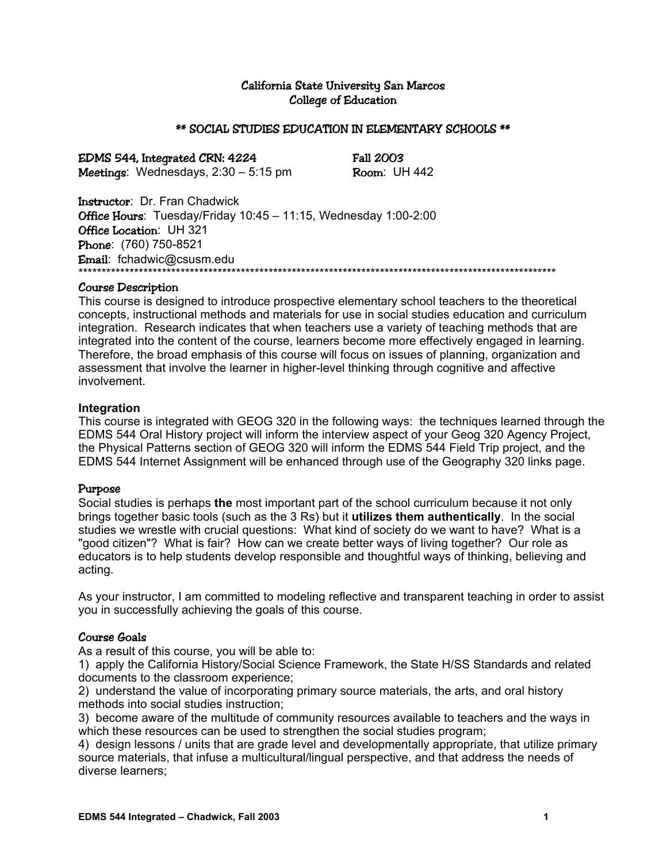## California State University San Marcos College of Education

#### \*\* SOCIAL STUDIES EDUCATION IN ELEMENTARY SCHOOLS \*\*

EDMS 544, Integrated CRN: 4224 Fall 2003

**Meetings:** Wednesdays,  $2:30 - 5:15$  pm **Room:** UH 442

Instructor: Dr. Fran Chadwick Office Hours: Tuesday/Friday 10:45 - 11:15, Wednesday 1:00-2:00 Office Location: UH 321 Phone: (760) 750-8521 Email: fchadwic@csusm.edu \*\*\*\*\*\*\*\*\*\*\*\*\*\*\*\*\*\*\*\*\*\*\*\*\*\*\*\*\*\*\*\*\*\*\*\*\*\*\*\*\*\*\*\*\*\*\*\*\*\*\*\*\*\*\*\*\*\*\*\*\*\*\*\*\*\*\*\*\*\*\*\*\*\*\*\*\*\*\*\*\*\*\*\*\*\*\*\*\*\*\*\*\*\*\*\*\*\*\*\*\*\*\*

#### Course Description

This course is designed to introduce prospective elementary school teachers to the theoretical concepts, instructional methods and materials for use in social studies education and curriculum integration. Research indicates that when teachers use a variety of teaching methods that are integrated into the content of the course, learners become more effectively engaged in learning. Therefore, the broad emphasis of this course will focus on issues of planning, organization and assessment that involve the learner in higher-level thinking through cognitive and affective involvement.

#### **Integration**

This course is integrated with GEOG 320 in the following ways: the techniques learned through the EDMS 544 Oral History project will inform the interview aspect of your Geog 320 Agency Project, the Physical Patterns section of GEOG 320 will inform the EDMS 544 Field Trip project, and the EDMS 544 Internet Assignment will be enhanced through use of the Geography 320 links page.

#### Purpose

Social studies is perhaps **the** most important part of the school curriculum because it not only brings together basic tools (such as the 3 Rs) but it **utilizes them authentically**. In the social studies we wrestle with crucial questions: What kind of society do we want to have? What is a "good citizen"? What is fair? How can we create better ways of living together? Our role as educators is to help students develop responsible and thoughtful ways of thinking, believing and acting.

As your instructor, I am committed to modeling reflective and transparent teaching in order to assist you in successfully achieving the goals of this course.

#### Course Goals

As a result of this course, you will be able to:

1) apply the California History/Social Science Framework, the State H/SS Standards and related documents to the classroom experience;

2) understand the value of incorporating primary source materials, the arts, and oral history methods into social studies instruction;

3) become aware of the multitude of community resources available to teachers and the ways in which these resources can be used to strengthen the social studies program;

4) design lessons / units that are grade level and developmentally appropriate, that utilize primary source materials, that infuse a multicultural/lingual perspective, and that address the needs of diverse learners;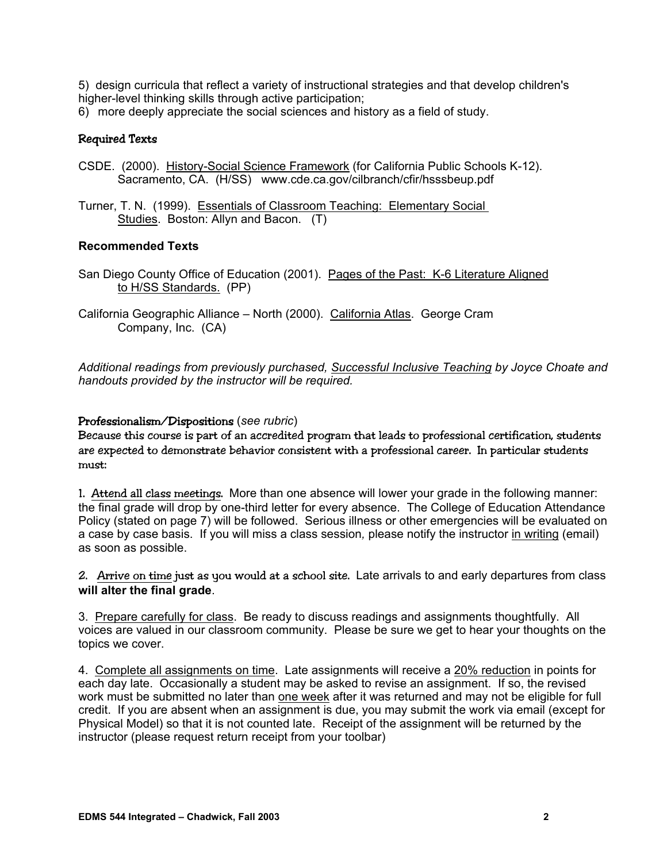5) design curricula that reflect a variety of instructional strategies and that develop children's higher-level thinking skills through active participation;

6) more deeply appreciate the social sciences and history as a field of study.

# Required Texts

- CSDE. (2000). History-Social Science Framework (for California Public Schools K-12). Sacramento, CA. (H/SS) www.cde.ca.gov/cilbranch/cfir/hsssbeup.pdf
- Turner, T. N. (1999). Essentials of Classroom Teaching: Elementary Social Studies. Boston: Allyn and Bacon. (T)

## **Recommended Texts**

- San Diego County Office of Education (2001). Pages of the Past: K-6 Literature Aligned to H/SS Standards. (PP)
- California Geographic Alliance North (2000). California Atlas. George Cram Company, Inc. (CA)

*Additional readings from previously purchased, Successful Inclusive Teaching by Joyce Choate and handouts provided by the instructor will be required.* 

## Professionalism/Dispositions (*see rubric*)

Because this course is part of an accredited program that leads to professional certification, students are expected to demonstrate behavior consistent with a professional career. In particular students must:

1. Attend all class meetings. More than one absence will lower your grade in the following manner: the final grade will drop by one-third letter for every absence. The College of Education Attendance Policy (stated on page 7) will be followed. Serious illness or other emergencies will be evaluated on a case by case basis. If you will miss a class session*,* please notify the instructor in writing (email) as soon as possible.

2. Arrive on time just as you would at a school site. Late arrivals to and early departures from class **will alter the final grade**.

3. Prepare carefully for class. Be ready to discuss readings and assignments thoughtfully. All voices are valued in our classroom community. Please be sure we get to hear your thoughts on the topics we cover.

4. Complete all assignments on time. Late assignments will receive a 20% reduction in points for each day late. Occasionally a student may be asked to revise an assignment. If so, the revised work must be submitted no later than one week after it was returned and may not be eligible for full credit. If you are absent when an assignment is due, you may submit the work via email (except for Physical Model) so that it is not counted late. Receipt of the assignment will be returned by the instructor (please request return receipt from your toolbar)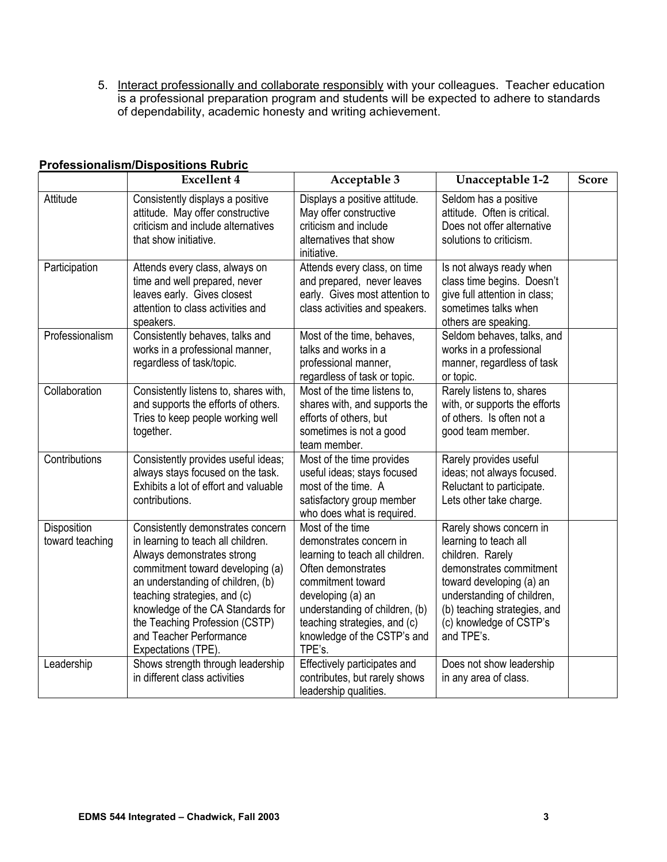5. Interact professionally and collaborate responsibly with your colleagues. Teacher education is a professional preparation program and students will be expected to adhere to standards of dependability, academic honesty and writing achievement.

|                                | <b>Excellent 4</b>                                                                                                                                                                                                                                                                                                                      | Acceptable 3                                                                                                                                                                                                                                              | Unacceptable 1-2                                                                                                                                                                                                                   | <b>Score</b> |
|--------------------------------|-----------------------------------------------------------------------------------------------------------------------------------------------------------------------------------------------------------------------------------------------------------------------------------------------------------------------------------------|-----------------------------------------------------------------------------------------------------------------------------------------------------------------------------------------------------------------------------------------------------------|------------------------------------------------------------------------------------------------------------------------------------------------------------------------------------------------------------------------------------|--------------|
| Attitude                       | Consistently displays a positive<br>attitude. May offer constructive<br>criticism and include alternatives<br>that show initiative.                                                                                                                                                                                                     | Displays a positive attitude.<br>May offer constructive<br>criticism and include<br>alternatives that show<br>initiative.                                                                                                                                 | Seldom has a positive<br>attitude. Often is critical.<br>Does not offer alternative<br>solutions to criticism.                                                                                                                     |              |
| Participation                  | Attends every class, always on<br>time and well prepared, never<br>leaves early. Gives closest<br>attention to class activities and<br>speakers.                                                                                                                                                                                        | Attends every class, on time<br>and prepared, never leaves<br>early. Gives most attention to<br>class activities and speakers.                                                                                                                            | Is not always ready when<br>class time begins. Doesn't<br>give full attention in class;<br>sometimes talks when<br>others are speaking.                                                                                            |              |
| Professionalism                | Consistently behaves, talks and<br>works in a professional manner,<br>regardless of task/topic.                                                                                                                                                                                                                                         | Most of the time, behaves,<br>talks and works in a<br>professional manner,<br>regardless of task or topic.                                                                                                                                                | Seldom behaves, talks, and<br>works in a professional<br>manner, regardless of task<br>or topic.                                                                                                                                   |              |
| Collaboration                  | Consistently listens to, shares with,<br>and supports the efforts of others.<br>Tries to keep people working well<br>together.                                                                                                                                                                                                          | Most of the time listens to,<br>shares with, and supports the<br>efforts of others, but<br>sometimes is not a good<br>team member.                                                                                                                        | Rarely listens to, shares<br>with, or supports the efforts<br>of others. Is often not a<br>good team member.                                                                                                                       |              |
| Contributions                  | Consistently provides useful ideas;<br>always stays focused on the task.<br>Exhibits a lot of effort and valuable<br>contributions.                                                                                                                                                                                                     | Most of the time provides<br>useful ideas; stays focused<br>most of the time. A<br>satisfactory group member<br>who does what is required.                                                                                                                | Rarely provides useful<br>ideas; not always focused.<br>Reluctant to participate.<br>Lets other take charge.                                                                                                                       |              |
| Disposition<br>toward teaching | Consistently demonstrates concern<br>in learning to teach all children.<br>Always demonstrates strong<br>commitment toward developing (a)<br>an understanding of children, (b)<br>teaching strategies, and (c)<br>knowledge of the CA Standards for<br>the Teaching Profession (CSTP)<br>and Teacher Performance<br>Expectations (TPE). | Most of the time<br>demonstrates concern in<br>learning to teach all children.<br>Often demonstrates<br>commitment toward<br>developing (a) an<br>understanding of children, (b)<br>teaching strategies, and (c)<br>knowledge of the CSTP's and<br>TPE's. | Rarely shows concern in<br>learning to teach all<br>children. Rarely<br>demonstrates commitment<br>toward developing (a) an<br>understanding of children,<br>(b) teaching strategies, and<br>(c) knowledge of CSTP's<br>and TPE's. |              |
| Leadership                     | Shows strength through leadership<br>in different class activities                                                                                                                                                                                                                                                                      | Effectively participates and<br>contributes, but rarely shows<br>leadership qualities.                                                                                                                                                                    | Does not show leadership<br>in any area of class.                                                                                                                                                                                  |              |

# **Professionalism/Dispositions Rubric**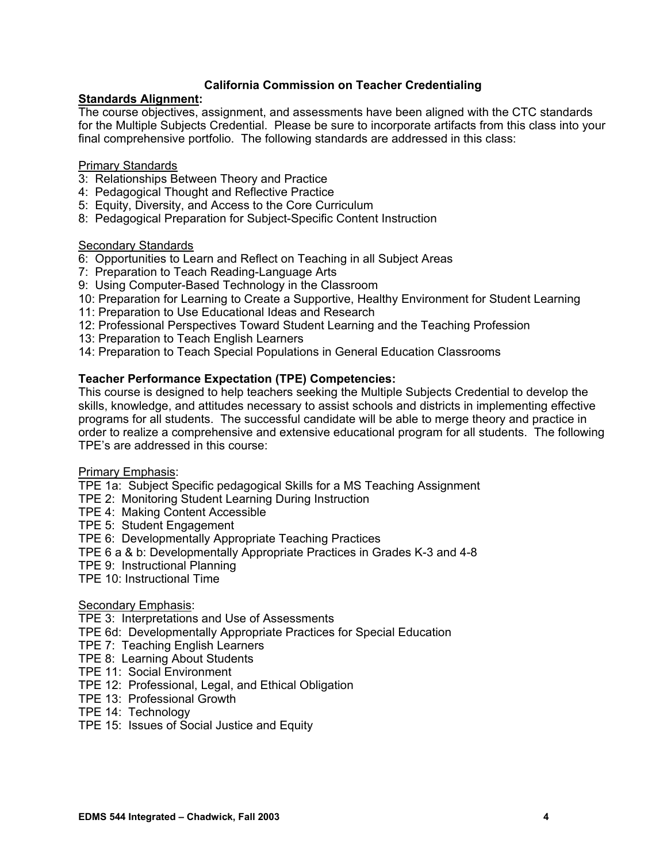## **California Commission on Teacher Credentialing**

## **Standards Alignment:**

The course objectives, assignment, and assessments have been aligned with the CTC standards for the Multiple Subjects Credential. Please be sure to incorporate artifacts from this class into your final comprehensive portfolio. The following standards are addressed in this class:

#### Primary Standards

- 3: Relationships Between Theory and Practice
- 4: Pedagogical Thought and Reflective Practice
- 5: Equity, Diversity, and Access to the Core Curriculum
- 8: Pedagogical Preparation for Subject-Specific Content Instruction

## **Secondary Standards**

- 6: Opportunities to Learn and Reflect on Teaching in all Subject Areas
- 7: Preparation to Teach Reading-Language Arts
- 9: Using Computer-Based Technology in the Classroom
- 10: Preparation for Learning to Create a Supportive, Healthy Environment for Student Learning
- 11: Preparation to Use Educational Ideas and Research
- 12: Professional Perspectives Toward Student Learning and the Teaching Profession
- 13: Preparation to Teach English Learners
- 14: Preparation to Teach Special Populations in General Education Classrooms

## **Teacher Performance Expectation (TPE) Competencies:**

This course is designed to help teachers seeking the Multiple Subjects Credential to develop the skills, knowledge, and attitudes necessary to assist schools and districts in implementing effective programs for all students. The successful candidate will be able to merge theory and practice in order to realize a comprehensive and extensive educational program for all students. The following TPE's are addressed in this course:

#### Primary Emphasis:

TPE 1a: Subject Specific pedagogical Skills for a MS Teaching Assignment

- TPE 2: Monitoring Student Learning During Instruction
- TPE 4: Making Content Accessible
- TPE 5: Student Engagement

#### TPE 6: Developmentally Appropriate Teaching Practices

- TPE 6 a & b: Developmentally Appropriate Practices in Grades K-3 and 4-8
- TPE 9: Instructional Planning
- TPE 10: Instructional Time

#### Secondary Emphasis:

TPE 3: Interpretations and Use of Assessments

- TPE 6d: Developmentally Appropriate Practices for Special Education
- TPE 7: Teaching English Learners
- TPE 8: Learning About Students
- TPE 11: Social Environment
- TPE 12: Professional, Legal, and Ethical Obligation
- TPE 13: Professional Growth
- TPE 14: Technology
- TPE 15: Issues of Social Justice and Equity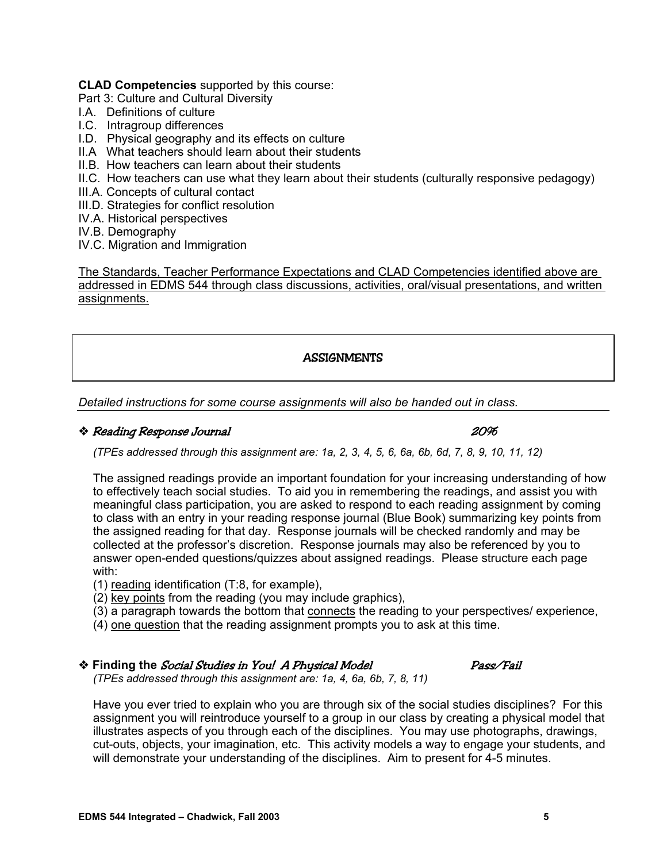## **CLAD Competencies** supported by this course:

Part 3: Culture and Cultural Diversity

- I.A. Definitions of culture
- I.C. Intragroup differences
- I.D. Physical geography and its effects on culture
- II.A What teachers should learn about their students
- II.B. How teachers can learn about their students
- II.C. How teachers can use what they learn about their students (culturally responsive pedagogy)
- III.A. Concepts of cultural contact
- III.D. Strategies for conflict resolution
- IV.A. Historical perspectives
- IV.B. Demography
- IV.C. Migration and Immigration

The Standards, Teacher Performance Expectations and CLAD Competencies identified above are addressed in EDMS 544 through class discussions, activities, oral/visual presentations, and written assignments.

## **ASSIGNMENTS**

*Detailed instructions for some course assignments will also be handed out in class.* 

## Reading Response Journal 20%

*(TPEs addressed through this assignment are: 1a, 2, 3, 4, 5, 6, 6a, 6b, 6d, 7, 8, 9, 10, 11, 12)* 

The assigned readings provide an important foundation for your increasing understanding of how to effectively teach social studies. To aid you in remembering the readings, and assist you with meaningful class participation, you are asked to respond to each reading assignment by coming to class with an entry in your reading response journal (Blue Book) summarizing key points from the assigned reading for that day. Response journals will be checked randomly and may be collected at the professor's discretion. Response journals may also be referenced by you to answer open-ended questions/quizzes about assigned readings. Please structure each page with:

- (1) reading identification (T:8, for example),
- (2) key points from the reading (you may include graphics),
- (3) a paragraph towards the bottom that connects the reading to your perspectives/ experience,
- (4) one question that the reading assignment prompts you to ask at this time.

## **Finding the** Social Studies in You! A Physical Model Pass/Fail

*(TPEs addressed through this assignment are: 1a, 4, 6a, 6b, 7, 8, 11)* 

Have you ever tried to explain who you are through six of the social studies disciplines? For this assignment you will reintroduce yourself to a group in our class by creating a physical model that illustrates aspects of you through each of the disciplines. You may use photographs, drawings, cut-outs, objects, your imagination, etc. This activity models a way to engage your students, and will demonstrate your understanding of the disciplines. Aim to present for 4-5 minutes.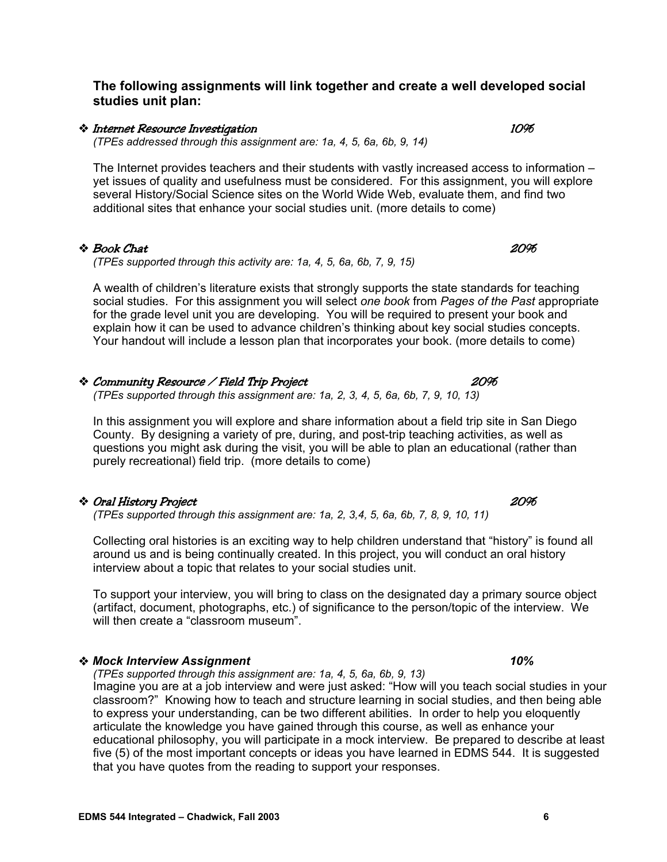**The following assignments will link together and create a well developed social studies unit plan:** 

#### Internet Resource Investigation 10%

*(TPEs addressed through this assignment are: 1a, 4, 5, 6a, 6b, 9, 14)* 

The Internet provides teachers and their students with vastly increased access to information – yet issues of quality and usefulness must be considered. For this assignment, you will explore several History/Social Science sites on the World Wide Web, evaluate them, and find two additional sites that enhance your social studies unit. (more details to come)

## **◆ Book Chat** 20%

*(TPEs supported through this activity are: 1a, 4, 5, 6a, 6b, 7, 9, 15)* 

A wealth of children's literature exists that strongly supports the state standards for teaching social studies. For this assignment you will select *one book* from *Pages of the Past* appropriate for the grade level unit you are developing. You will be required to present your book and explain how it can be used to advance children's thinking about key social studies concepts. Your handout will include a lesson plan that incorporates your book. (more details to come)

## Community Resource / Field Trip Project 20%

*(TPEs supported through this assignment are: 1a, 2, 3, 4, 5, 6a, 6b, 7, 9, 10, 13)* 

In this assignment you will explore and share information about a field trip site in San Diego County. By designing a variety of pre, during, and post-trip teaching activities, as well as questions you might ask during the visit, you will be able to plan an educational (rather than purely recreational) field trip. (more details to come)

## Oral History Project 20%

*(TPEs supported through this assignment are: 1a, 2, 3,4, 5, 6a, 6b, 7, 8, 9, 10, 11)* 

Collecting oral histories is an exciting way to help children understand that "history" is found all around us and is being continually created. In this project, you will conduct an oral history interview about a topic that relates to your social studies unit.

To support your interview, you will bring to class on the designated day a primary source object (artifact, document, photographs, etc.) of significance to the person/topic of the interview. We will then create a "classroom museum".

## *Mock Interview Assignment 10%*

*(TPEs supported through this assignment are: 1a, 4, 5, 6a, 6b, 9, 13)* 

Imagine you are at a job interview and were just asked: "How will you teach social studies in your classroom?" Knowing how to teach and structure learning in social studies, and then being able to express your understanding, can be two different abilities. In order to help you eloquently articulate the knowledge you have gained through this course, as well as enhance your educational philosophy, you will participate in a mock interview. Be prepared to describe at least five (5) of the most important concepts or ideas you have learned in EDMS 544. It is suggested that you have quotes from the reading to support your responses.

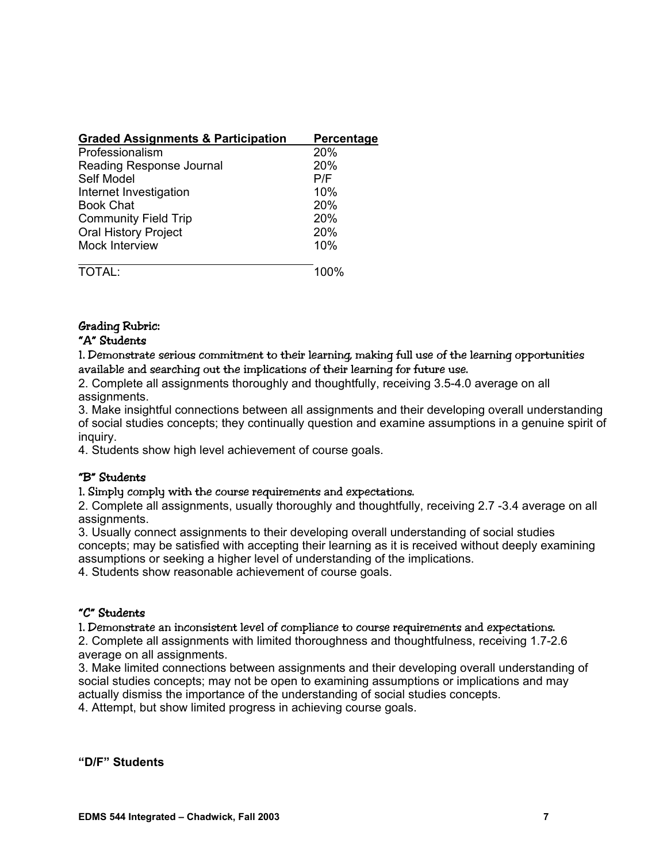| <b>Graded Assignments &amp; Participation</b> | Percentage |
|-----------------------------------------------|------------|
| Professionalism                               | 20%        |
| Reading Response Journal                      | 20%        |
| Self Model                                    | P/F        |
| Internet Investigation                        | 10%        |
| <b>Book Chat</b>                              | 20%        |
| <b>Community Field Trip</b>                   | 20%        |
| <b>Oral History Project</b>                   | 20%        |
| <b>Mock Interview</b>                         | 10%        |
| TOTAI                                         | 100%       |

# Grading Rubric:

## "A" Students

1. Demonstrate serious commitment to their learning, making full use of the learning opportunities available and searching out the implications of their learning for future use.

2. Complete all assignments thoroughly and thoughtfully, receiving 3.5-4.0 average on all assignments.

3. Make insightful connections between all assignments and their developing overall understanding of social studies concepts; they continually question and examine assumptions in a genuine spirit of inquiry.

4. Students show high level achievement of course goals.

#### "B" Students

1. Simply comply with the course requirements and expectations.

2. Complete all assignments, usually thoroughly and thoughtfully, receiving 2.7 -3.4 average on all assignments.

3. Usually connect assignments to their developing overall understanding of social studies concepts; may be satisfied with accepting their learning as it is received without deeply examining assumptions or seeking a higher level of understanding of the implications.

4. Students show reasonable achievement of course goals.

## "C" Students

1. Demonstrate an inconsistent level of compliance to course requirements and expectations.

2. Complete all assignments with limited thoroughness and thoughtfulness, receiving 1.7-2.6 average on all assignments.

3. Make limited connections between assignments and their developing overall understanding of social studies concepts; may not be open to examining assumptions or implications and may actually dismiss the importance of the understanding of social studies concepts.

4. Attempt, but show limited progress in achieving course goals.

**"D/F" Students**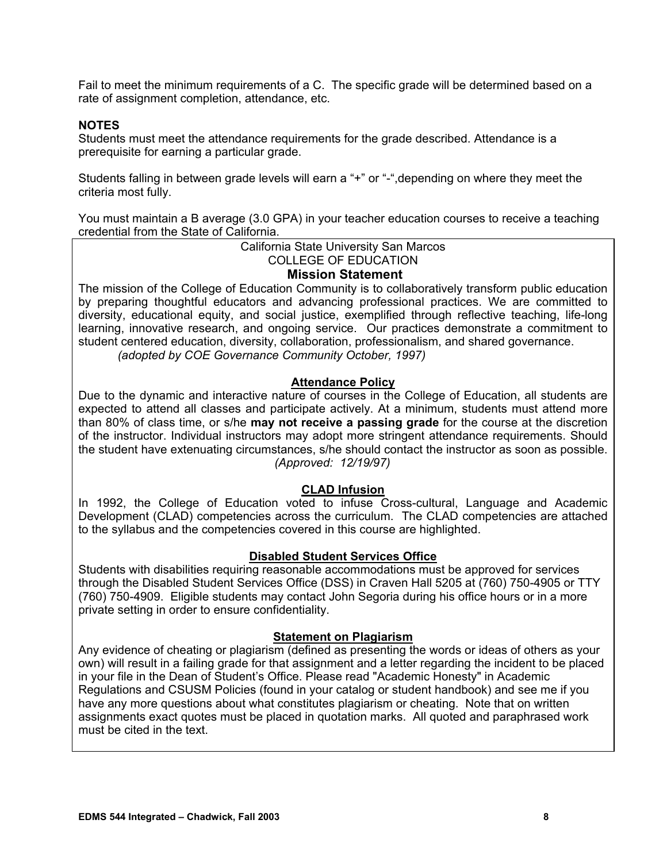Fail to meet the minimum requirements of a C. The specific grade will be determined based on a rate of assignment completion, attendance, etc.

## **NOTES**

Students must meet the attendance requirements for the grade described. Attendance is a prerequisite for earning a particular grade.

Students falling in between grade levels will earn a "+" or "-",depending on where they meet the criteria most fully.

You must maintain a B average (3.0 GPA) in your teacher education courses to receive a teaching credential from the State of California.

> California State University San Marcos COLLEGE OF EDUCATION

**Mission Statement** 

The mission of the College of Education Community is to collaboratively transform public education by preparing thoughtful educators and advancing professional practices. We are committed to diversity, educational equity, and social justice, exemplified through reflective teaching, life-long learning, innovative research, and ongoing service. Our practices demonstrate a commitment to student centered education, diversity, collaboration, professionalism, and shared governance. *(adopted by COE Governance Community October, 1997)*

## **Attendance Policy**

Due to the dynamic and interactive nature of courses in the College of Education, all students are expected to attend all classes and participate actively. At a minimum, students must attend more than 80% of class time, or s/he **may not receive a passing grade** for the course at the discretion of the instructor. Individual instructors may adopt more stringent attendance requirements. Should the student have extenuating circumstances, s/he should contact the instructor as soon as possible. *(Approved: 12/19/97)* 

#### **CLAD Infusion**

In 1992, the College of Education voted to infuse Cross-cultural, Language and Academic Development (CLAD) competencies across the curriculum. The CLAD competencies are attached to the syllabus and the competencies covered in this course are highlighted.

#### **Disabled Student Services Office**

Students with disabilities requiring reasonable accommodations must be approved for services through the Disabled Student Services Office (DSS) in Craven Hall 5205 at (760) 750-4905 or TTY (760) 750-4909. Eligible students may contact John Segoria during his office hours or in a more private setting in order to ensure confidentiality.

#### **Statement on Plagiarism**

Any evidence of cheating or plagiarism (defined as presenting the words or ideas of others as your own) will result in a failing grade for that assignment and a letter regarding the incident to be placed in your file in the Dean of Student's Office. Please read "Academic Honesty" in Academic Regulations and CSUSM Policies (found in your catalog or student handbook) and see me if you have any more questions about what constitutes plagiarism or cheating. Note that on written assignments exact quotes must be placed in quotation marks. All quoted and paraphrased work must be cited in the text.